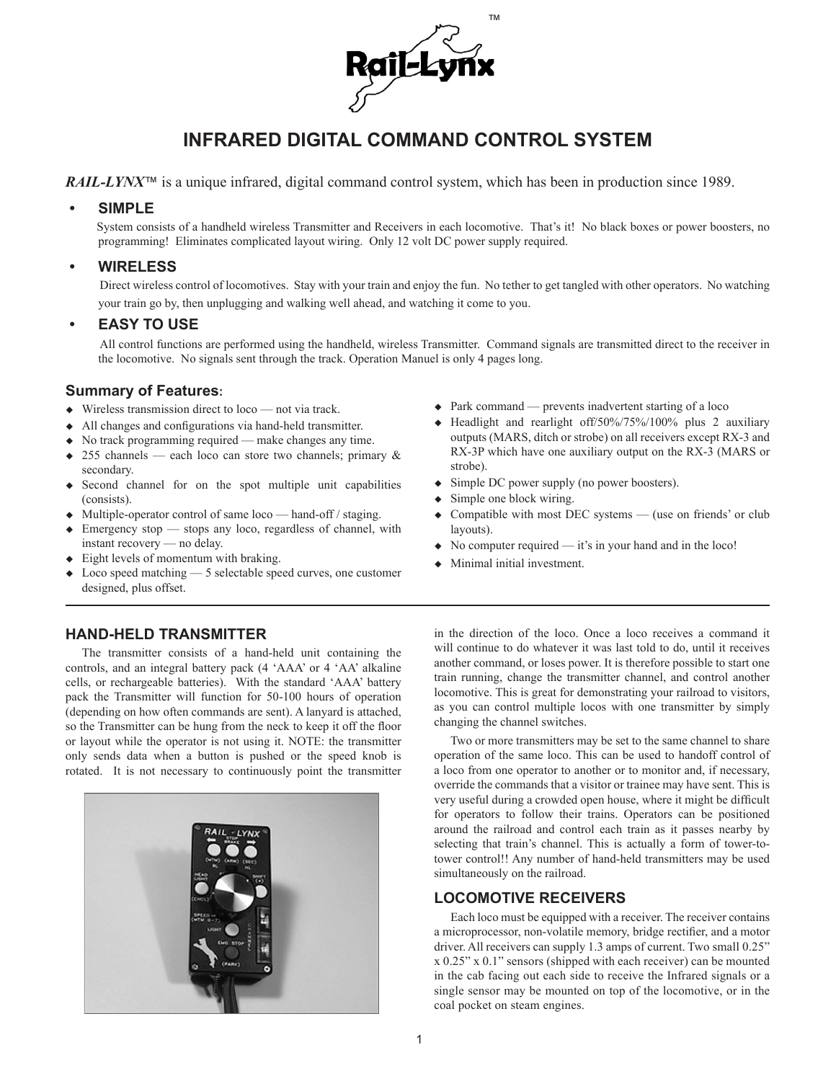

# **INFRARED DIGITAL COMMAND CONTROL SYSTEM**

*RAIL-LYNX*<sup>™</sup> is a unique infrared, digital command control system, which has been in production since 1989.

### **• SIMPLE**

System consists of a handheld wireless Transmitter and Receivers in each locomotive. That's it! No black boxes or power boosters, no programming! Eliminates complicated layout wiring. Only 12 volt DC power supply required.

### **• WIRELESS**

Direct wireless control of locomotives. Stay with your train and enjoy the fun. No tether to get tangled with other operators. No watching your train go by, then unplugging and walking well ahead, and watching it come to you.

### **• EASY TO USE**

All control functions are performed using the handheld, wireless Transmitter. Command signals are transmitted direct to the receiver in the locomotive. No signals sent through the track. Operation Manuel is only 4 pages long.

### **Summary of Features:**

- $\bullet$  Wireless transmission direct to loco not via track.
- $\triangleleft$  All changes and configurations via hand-held transmitter.
- $\bullet$  No track programming required make changes any time.
- $\bullet$  255 channels each loco can store two channels; primary & secondary.
- $\triangleleft$  Second channel for on the spot multiple unit capabilities (consists).
- $\bullet$  Multiple-operator control of same loco hand-off / staging.
- $\bullet$  Emergency stop stops any loco, regardless of channel, with instant recovery — no delay.
- $\triangle$  Eight levels of momentum with braking.
- Loco speed matching  $-5$  selectable speed curves, one customer designed, plus offset.

### $\bullet$  Park command — prevents inadvertent starting of a loco

- $\triangle$  Headlight and rearlight off/50%/75%/100% plus 2 auxiliary outputs (MARS, ditch or strobe) on all receivers except RX-3 and RX-3P which have one auxiliary output on the RX-3 (MARS or strobe).
- $\triangleleft$  Simple DC power supply (no power boosters).
- Simple one block wiring.
- Compatible with most DEC systems  $-$  (use on friends' or club layouts).
- $\bullet$  No computer required it's in your hand and in the loco!
- Minimal initial investment.

### **HAND-HELD TRANSMITTER**

The transmitter consists of a hand-held unit containing the controls, and an integral battery pack (4 'AAA' or 4 'AA' alkaline cells, or rechargeable batteries). With the standard 'AAA' battery pack the Transmitter will function for 50-100 hours of operation (depending on how often commands are sent). A lanyard is attached, so the Transmitter can be hung from the neck to keep it off the floor or layout while the operator is not using it. NOTE: the transmitter only sends data when a button is pushed or the speed knob is rotated. It is not necessary to continuously point the transmitter



in the direction of the loco. Once a loco receives a command it will continue to do whatever it was last told to do, until it receives another command, or loses power. It is therefore possible to start one train running, change the transmitter channel, and control another locomotive. This is great for demonstrating your railroad to visitors, as you can control multiple locos with one transmitter by simply changing the channel switches.

Two or more transmitters may be set to the same channel to share operation of the same loco. This can be used to handoff control of a loco from one operator to another or to monitor and, if necessary, override the commands that a visitor or trainee may have sent. This is very useful during a crowded open house, where it might be difficult for operators to follow their trains. Operators can be positioned around the railroad and control each train as it passes nearby by selecting that train's channel. This is actually a form of tower-totower control!! Any number of hand-held transmitters may be used simultaneously on the railroad.

### **LOCOMOTIVE RECEIVERS**

Each loco must be equipped with a receiver. The receiver contains a microprocessor, non-volatile memory, bridge rectifier, and a motor driver. All receivers can supply 1.3 amps of current. Two small  $0.25"$ x 0.25" x 0.1" sensors (shipped with each receiver) can be mounted in the cab facing out each side to receive the Infrared signals or a single sensor may be mounted on top of the locomotive, or in the coal pocket on steam engines.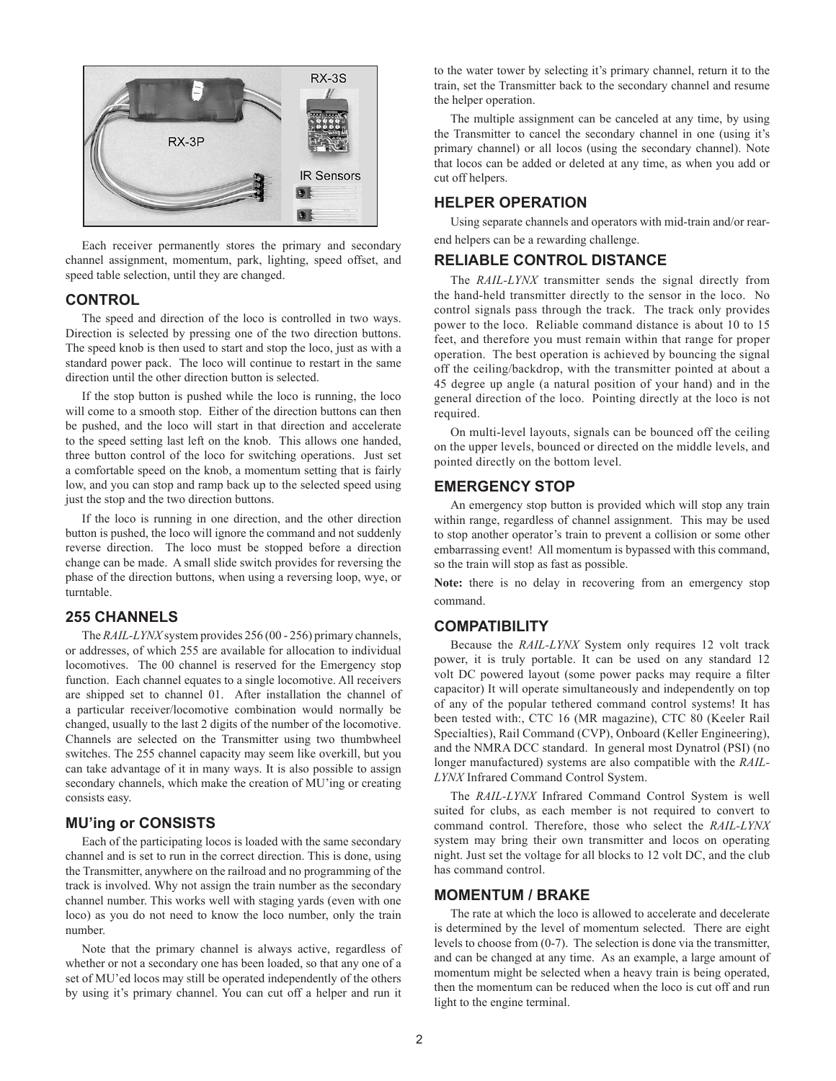

Each receiver permanently stores the primary and secondary channel assignment, momentum, park, lighting, speed offset, and speed table selection, until they are changed.

### **CONTROL**

The speed and direction of the loco is controlled in two ways. Direction is selected by pressing one of the two direction buttons. The speed knob is then used to start and stop the loco, just as with a standard power pack. The loco will continue to restart in the same direction until the other direction button is selected.

If the stop button is pushed while the loco is running, the loco will come to a smooth stop. Either of the direction buttons can then be pushed, and the loco will start in that direction and accelerate to the speed setting last left on the knob. This allows one handed, three button control of the loco for switching operations. Just set a comfortable speed on the knob, a momentum setting that is fairly low, and you can stop and ramp back up to the selected speed using just the stop and the two direction buttons.

If the loco is running in one direction, and the other direction button is pushed, the loco will ignore the command and not suddenly reverse direction. The loco must be stopped before a direction change can be made. A small slide switch provides for reversing the phase of the direction buttons, when using a reversing loop, wye, or turntable.

### **255 CHANNELS**

The *RAIL-LYNX* system provides 256 (00 - 256) primary channels, or addresses, of which 255 are available for allocation to individual locomotives. The 00 channel is reserved for the Emergency stop function. Each channel equates to a single locomotive. All receivers are shipped set to channel 01. After installation the channel of a particular receiver/locomotive combination would normally be changed, usually to the last 2 digits of the number of the locomotive. Channels are selected on the Transmitter using two thumbwheel switches. The 255 channel capacity may seem like overkill, but you can take advantage of it in many ways. It is also possible to assign secondary channels, which make the creation of MU'ing or creating consists easy.

#### **MU'ing or CONSISTS**

Each of the participating locos is loaded with the same secondary channel and is set to run in the correct direction. This is done, using the Transmitter, anywhere on the railroad and no programming of the track is involved. Why not assign the train number as the secondary channel number. This works well with staging yards (even with one loco) as you do not need to know the loco number, only the train number.

Note that the primary channel is always active, regardless of whether or not a secondary one has been loaded, so that any one of a set of MU'ed locos may still be operated independently of the others by using it's primary channel. You can cut off a helper and run it

to the water tower by selecting it's primary channel, return it to the train, set the Transmitter back to the secondary channel and resume the helper operation.

The multiple assignment can be canceled at any time, by using the Transmitter to cancel the secondary channel in one (using it's primary channel) or all locos (using the secondary channel). Note that locos can be added or deleted at any time, as when you add or cut off helpers.

### **HELPER OPERATION**

Using separate channels and operators with mid-train and/or rearend helpers can be a rewarding challenge.

#### **RELIABLE CONTROL DISTANCE**

The *RAIL-LYNX* transmitter sends the signal directly from the hand-held transmitter directly to the sensor in the loco. No control signals pass through the track. The track only provides power to the loco. Reliable command distance is about 10 to 15 feet, and therefore you must remain within that range for proper operation. The best operation is achieved by bouncing the signal off the ceiling/backdrop, with the transmitter pointed at about a 45 degree up angle (a natural position of your hand) and in the general direction of the loco. Pointing directly at the loco is not required.

On multi-level layouts, signals can be bounced off the ceiling on the upper levels, bounced or directed on the middle levels, and pointed directly on the bottom level.

#### **EMERGENCY STOP**

An emergency stop button is provided which will stop any train within range, regardless of channel assignment. This may be used to stop another operator's train to prevent a collision or some other embarrassing event! All momentum is bypassed with this command, so the train will stop as fast as possible.

**Note:** there is no delay in recovering from an emergency stop command.

### **COMPATIBILITY**

Because the *RAIL-LYNX* System only requires 12 volt track power, it is truly portable. It can be used on any standard 12 volt DC powered layout (some power packs may require a filter capacitor) It will operate simultaneously and independently on top of any of the popular tethered command control systems! It has been tested with:, CTC 16 (MR magazine), CTC 80 (Keeler Rail Specialties), Rail Command (CVP), Onboard (Keller Engineering), and the NMRA DCC standard. In general most Dynatrol (PSI) (no longer manufactured) systems are also compatible with the *RAIL-LYNX* Infrared Command Control System.

The *RAIL-LYNX* Infrared Command Control System is well suited for clubs, as each member is not required to convert to command control. Therefore, those who select the *RAIL-LYNX*  system may bring their own transmitter and locos on operating night. Just set the voltage for all blocks to 12 volt DC, and the club has command control.

#### **MOMENTUM / BRAKE**

The rate at which the loco is allowed to accelerate and decelerate is determined by the level of momentum selected. There are eight levels to choose from (0-7). The selection is done via the transmitter, and can be changed at any time. As an example, a large amount of momentum might be selected when a heavy train is being operated, then the momentum can be reduced when the loco is cut off and run light to the engine terminal.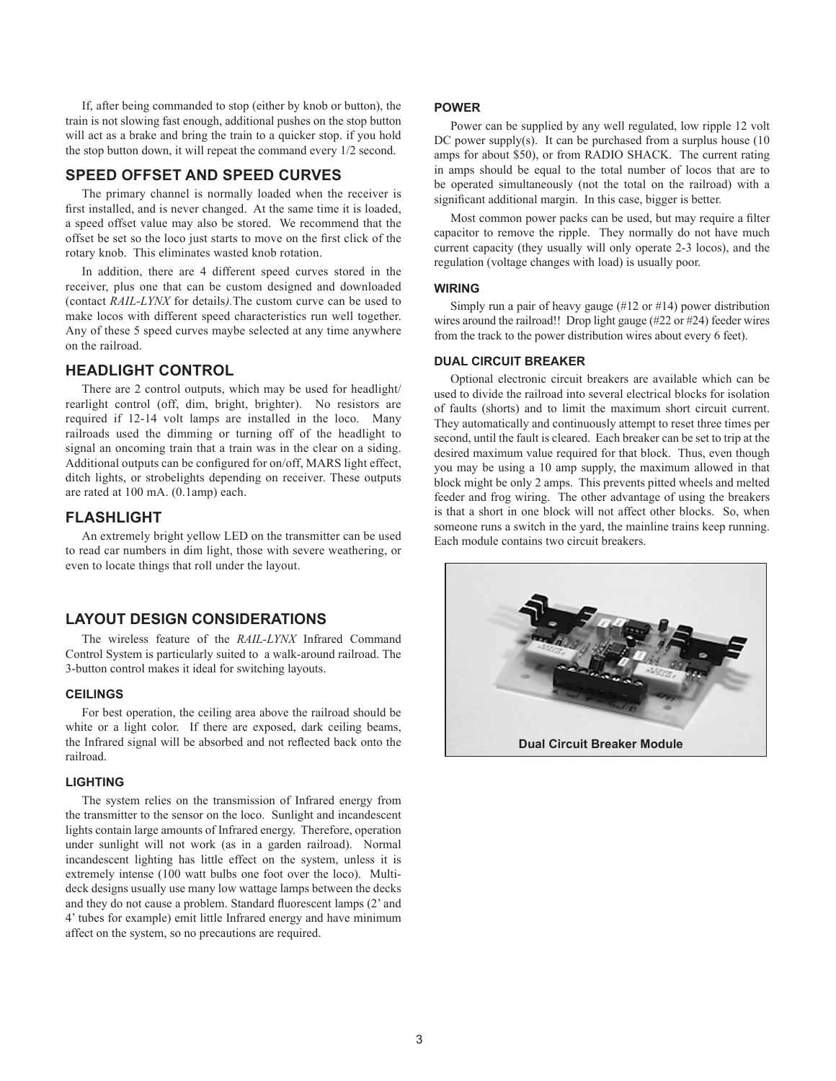If, after being commanded to stop (either by knob or button), the train is not slowing fast enough, additional pushes on the stop button will act as a brake and bring the train to a quicker stop. if you hold the stop button down, it will repeat the command every 1/2 second.

### **SPEED OFFSET AND SPEED CURVES**

The primary channel is normally loaded when the receiver is first installed, and is never changed. At the same time it is loaded, a speed offset value may also be stored. We recommend that the offset be set so the loco just starts to move on the first click of the rotary knob. This eliminates wasted knob rotation.

In addition, there are 4 different speed curves stored in the receiver, plus one that can be custom designed and downloaded (contact *RAIL-LYNX* for details*).*The custom curve can be used to make locos with different speed characteristics run well together. Any of these 5 speed curves maybe selected at any time anywhere on the railroad.

### **HEADLIGHT CONTROL**

There are 2 control outputs, which may be used for headlight/ rearlight control (off, dim, bright, brighter). No resistors are required if 12-14 volt lamps are installed in the loco. Many railroads used the dimming or turning off of the headlight to signal an oncoming train that a train was in the clear on a siding. Additional outputs can be configured for on/off, MARS light effect, ditch lights, or strobelights depending on receiver. These outputs are rated at 100 mA. (0.1amp) each.

#### **FLASHLIGHT**

An extremely bright yellow LED on the transmitter can be used to read car numbers in dim light, those with severe weathering, or even to locate things that roll under the layout.

### **LAYOUT DESIGN CONSIDERATIONS**

The wireless feature of the *RAIL-LYNX* Infrared Command Control System is particularly suited to a walk-around railroad. The 3-button control makes it ideal for switching layouts.

#### **CEILINGS**

For best operation, the ceiling area above the railroad should be white or a light color. If there are exposed, dark ceiling beams, the Infrared signal will be absorbed and not reflected back onto the railroad.

#### **LIGHTING**

The system relies on the transmission of Infrared energy from the transmitter to the sensor on the loco. Sunlight and incandescent lights contain large amounts of Infrared energy. Therefore, operation under sunlight will not work (as in a garden railroad). Normal incandescent lighting has little effect on the system, unless it is extremely intense (100 watt bulbs one foot over the loco). Multideck designs usually use many low wattage lamps between the decks and they do not cause a problem. Standard fluorescent lamps (2' and 4' tubes for example) emit little Infrared energy and have minimum affect on the system, so no precautions are required.

#### **POWER**

Power can be supplied by any well regulated, low ripple 12 volt DC power supply(s). It can be purchased from a surplus house (10) amps for about \$50), or from RADIO SHACK. The current rating in amps should be equal to the total number of locos that are to be operated simultaneously (not the total on the railroad) with a significant additional margin. In this case, bigger is better.

Most common power packs can be used, but may require a filter capacitor to remove the ripple. They normally do not have much current capacity (they usually will only operate 2-3 locos), and the regulation (voltage changes with load) is usually poor.

#### **WIRING**

Simply run a pair of heavy gauge (#12 or #14) power distribution wires around the railroad!! Drop light gauge (#22 or #24) feeder wires from the track to the power distribution wires about every 6 feet).

#### **DUAL CIRCUIT BREAKER**

Optional electronic circuit breakers are available which can be used to divide the railroad into several electrical blocks for isolation of faults (shorts) and to limit the maximum short circuit current. They automatically and continuously attempt to reset three times per second, until the fault is cleared. Each breaker can be set to trip at the desired maximum value required for that block. Thus, even though you may be using a 10 amp supply, the maximum allowed in that block might be only 2 amps. This prevents pitted wheels and melted feeder and frog wiring. The other advantage of using the breakers is that a short in one block will not affect other blocks. So, when someone runs a switch in the yard, the mainline trains keep running. Each module contains two circuit breakers.

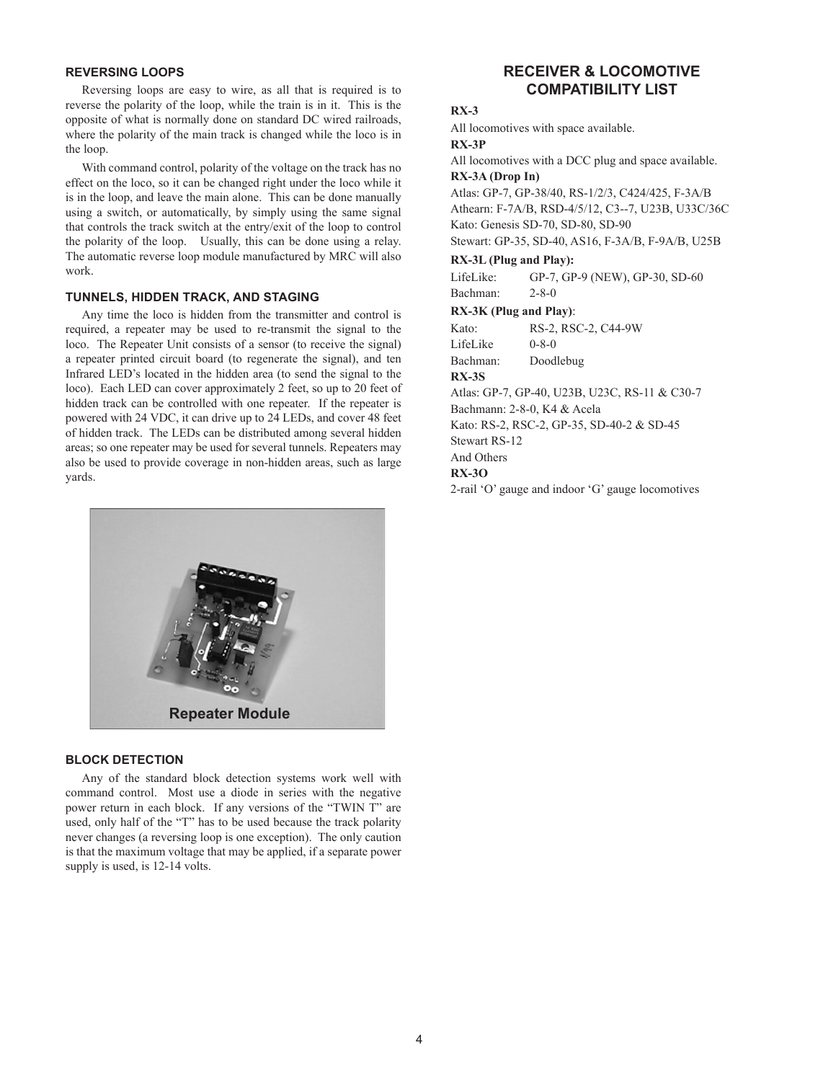#### **REVERSING LOOPS**

Reversing loops are easy to wire, as all that is required is to reverse the polarity of the loop, while the train is in it. This is the opposite of what is normally done on standard DC wired railroads, where the polarity of the main track is changed while the loco is in the loop.

With command control, polarity of the voltage on the track has no effect on the loco, so it can be changed right under the loco while it is in the loop, and leave the main alone. This can be done manually using a switch, or automatically, by simply using the same signal that controls the track switch at the entry/exit of the loop to control the polarity of the loop. Usually, this can be done using a relay. The automatic reverse loop module manufactured by MRC will also work.

#### **TUNNELS, HIDDEN TRACK, AND STAGING**

Any time the loco is hidden from the transmitter and control is required, a repeater may be used to re-transmit the signal to the loco. The Repeater Unit consists of a sensor (to receive the signal) a repeater printed circuit board (to regenerate the signal), and ten Infrared LED's located in the hidden area (to send the signal to the loco). Each LED can cover approximately 2 feet, so up to 20 feet of hidden track can be controlled with one repeater. If the repeater is powered with 24 VDC, it can drive up to 24 LEDs, and cover 48 feet of hidden track. The LEDs can be distributed among several hidden areas; so one repeater may be used for several tunnels. Repeaters may also be used to provide coverage in non-hidden areas, such as large yards.



#### **BLOCK DETECTION**

Any of the standard block detection systems work well with command control. Most use a diode in series with the negative power return in each block. If any versions of the "TWIN T" are used, only half of the "T" has to be used because the track polarity never changes (a reversing loop is one exception). The only caution is that the maximum voltage that may be applied, if a separate power supply is used, is 12-14 volts.

### **RECEIVER & LOCOMOTIVE COMPATIBILITY LIST**

### **RX-3**

All locomotives with space available.

#### **RX-3P**

All locomotives with a DCC plug and space available. **RX-3A (Drop In)**

Atlas: GP-7, GP-38/40, RS-1/2/3, C424/425, F-3A/B Athearn: F-7A/B, RSD-4/5/12, C3--7, U23B, U33C/36C Kato: Genesis SD-70, SD-80, SD-90

Stewart: GP-35, SD-40, AS16, F-3A/B, F-9A/B, U25B

#### **RX-3L (Plug and Play):**

LifeLike: GP-7, GP-9 (NEW), GP-30, SD-60 Bachman: 2-8-0

#### **RX-3K (Plug and Play)**:

Kato: RS-2, RSC-2, C44-9W

LifeLike 0-8-0

Bachman: Doodlebug

## **RX-3S**

Atlas: GP-7, GP-40, U23B, U23C, RS-11 & C30-7 Bachmann: 2-8-0, K4 & Acela

Kato: RS-2, RSC-2, GP-35, SD-40-2 & SD-45

Stewart RS-12

And Others

### **RX-3O**

2-rail 'O' gauge and indoor 'G' gauge locomotives